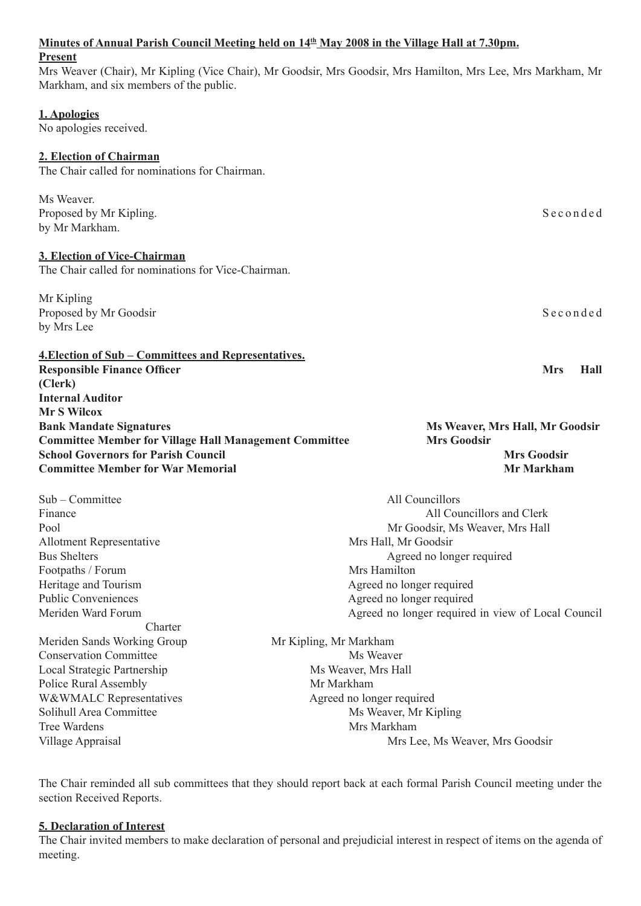| <b>Present</b><br>Markham, and six members of the public.                                                                                                                                                | Mrs Weaver (Chair), Mr Kipling (Vice Chair), Mr Goodsir, Mrs Goodsir, Mrs Hamilton, Mrs Lee, Mrs Markham, Mr                                                                                                                                                         |
|----------------------------------------------------------------------------------------------------------------------------------------------------------------------------------------------------------|----------------------------------------------------------------------------------------------------------------------------------------------------------------------------------------------------------------------------------------------------------------------|
| 1. Apologies<br>No apologies received.                                                                                                                                                                   |                                                                                                                                                                                                                                                                      |
| 2. Election of Chairman<br>The Chair called for nominations for Chairman.                                                                                                                                |                                                                                                                                                                                                                                                                      |
| Ms Weaver.<br>Proposed by Mr Kipling.<br>by Mr Markham.                                                                                                                                                  | Seconded                                                                                                                                                                                                                                                             |
| 3. Election of Vice-Chairman<br>The Chair called for nominations for Vice-Chairman.                                                                                                                      |                                                                                                                                                                                                                                                                      |
| Mr Kipling<br>Proposed by Mr Goodsir<br>by Mrs Lee                                                                                                                                                       | Seconded                                                                                                                                                                                                                                                             |
| <b>4. Election of Sub – Committees and Representatives.</b><br><b>Responsible Finance Officer</b><br>(Clerk)<br><b>Internal Auditor</b>                                                                  | <b>Mrs</b><br>Hall                                                                                                                                                                                                                                                   |
| <b>Mr S Wilcox</b>                                                                                                                                                                                       |                                                                                                                                                                                                                                                                      |
| <b>Bank Mandate Signatures</b><br><b>Committee Member for Village Hall Management Committee</b>                                                                                                          | <b>Ms Weaver, Mrs Hall, Mr Goodsir</b><br><b>Mrs Goodsir</b>                                                                                                                                                                                                         |
| <b>School Governors for Parish Council</b><br><b>Committee Member for War Memorial</b>                                                                                                                   | <b>Mrs Goodsir</b><br><b>Mr Markham</b>                                                                                                                                                                                                                              |
| Sub – Committee<br>Finance<br>Pool<br><b>Allotment Representative</b><br><b>Bus Shelters</b><br>Footpaths / Forum<br>Heritage and Tourism<br><b>Public Conveniences</b><br>Meriden Ward Forum<br>Charter | All Councillors<br>All Councillors and Clerk<br>Mr Goodsir, Ms Weaver, Mrs Hall<br>Mrs Hall, Mr Goodsir<br>Agreed no longer required<br>Mrs Hamilton<br>Agreed no longer required<br>Agreed no longer required<br>Agreed no longer required in view of Local Council |

Minutes of Annual Parish Council Meeting held on  $14<sup>th</sup>$  May 2008 in the Village Hall at 7.30pm.

The Chair reminded all sub committees that they should report back at each formal Parish Council meeting under the section Received Reports.

# **5. Declaration of Interest**

The Chair invited members to make declaration of personal and prejudicial interest in respect of items on the agenda of meeting.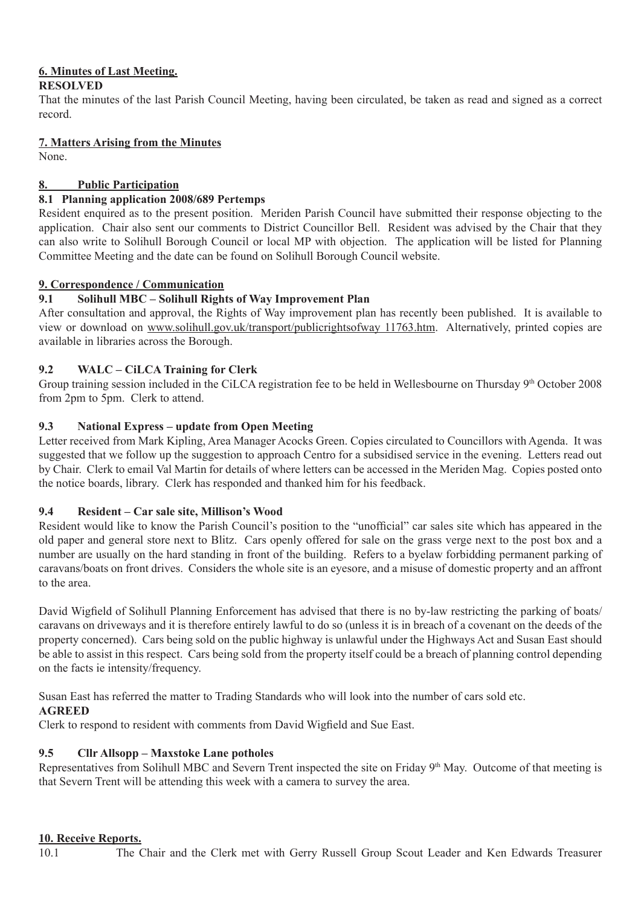#### **6. Minutes of Last Meeting. RESOLVED**

# That the minutes of the last Parish Council Meeting, having been circulated, be taken as read and signed as a correct record.

**7. Matters Arising from the Minutes**

None.

# **8. Public Participation**

# **8.1 Planning application 2008/689 Pertemps**

Resident enquired as to the present position. Meriden Parish Council have submitted their response objecting to the application. Chair also sent our comments to District Councillor Bell. Resident was advised by the Chair that they can also write to Solihull Borough Council or local MP with objection. The application will be listed for Planning Committee Meeting and the date can be found on Solihull Borough Council website.

# **9. Correspondence / Communication**

# **9.1 Solihull MBC – Solihull Rights of Way Improvement Plan**

After consultation and approval, the Rights of Way improvement plan has recently been published. It is available to view or download on www.solihull.gov.uk/transport/publicrightsofway 11763.htm. Alternatively, printed copies are available in libraries across the Borough.

# **9.2 WALC – CiLCA Training for Clerk**

Group training session included in the CiLCA registration fee to be held in Wellesbourne on Thursday  $9<sup>th</sup>$  October 2008 from 2pm to 5pm. Clerk to attend.

# **9.3 National Express – update from Open Meeting**

Letter received from Mark Kipling, Area Manager Acocks Green. Copies circulated to Councillors with Agenda. It was suggested that we follow up the suggestion to approach Centro for a subsidised service in the evening. Letters read out by Chair. Clerk to email Val Martin for details of where letters can be accessed in the Meriden Mag. Copies posted onto the notice boards, library. Clerk has responded and thanked him for his feedback.

# **9.4 Resident – Car sale site, Millison's Wood**

Resident would like to know the Parish Council's position to the "unofficial" car sales site which has appeared in the old paper and general store next to Blitz. Cars openly offered for sale on the grass verge next to the post box and a number are usually on the hard standing in front of the building. Refers to a byelaw forbidding permanent parking of caravans/boats on front drives. Considers the whole site is an eyesore, and a misuse of domestic property and an affront to the area.

David Wigfield of Solihull Planning Enforcement has advised that there is no by-law restricting the parking of boats/ caravans on driveways and it is therefore entirely lawful to do so (unless it is in breach of a covenant on the deeds of the property concerned). Cars being sold on the public highway is unlawful under the Highways Act and Susan East should be able to assist in this respect. Cars being sold from the property itself could be a breach of planning control depending on the facts ie intensity/frequency.

Susan East has referred the matter to Trading Standards who will look into the number of cars sold etc.

# **AGREED**

Clerk to respond to resident with comments from David Wigfield and Sue East.

# **9.5 Cllr Allsopp – Maxstoke Lane potholes**

Representatives from Solihull MBC and Severn Trent inspected the site on Friday 9th May. Outcome of that meeting is that Severn Trent will be attending this week with a camera to survey the area.

# **10. Receive Reports.**

10.1 The Chair and the Clerk met with Gerry Russell Group Scout Leader and Ken Edwards Treasurer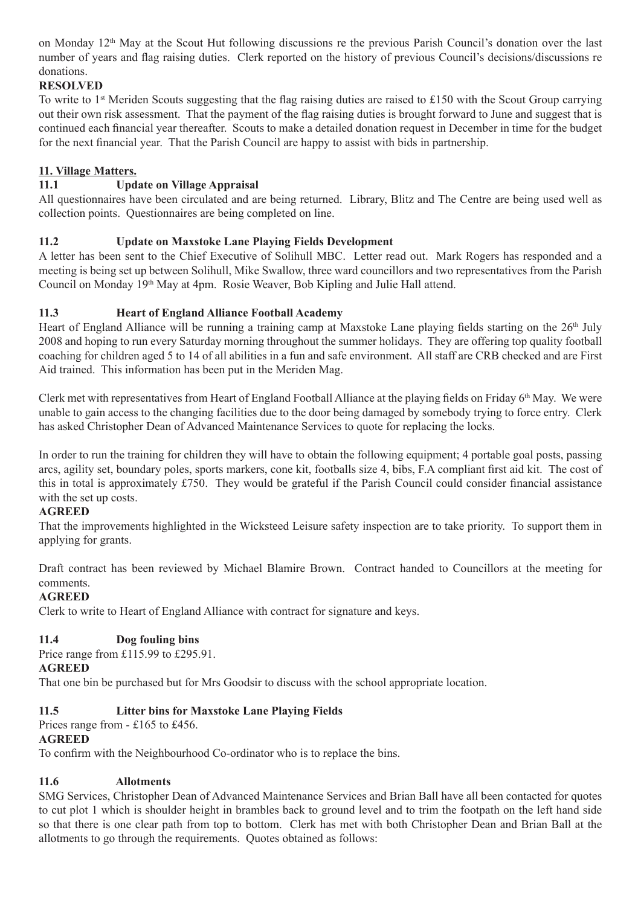on Monday  $12<sup>th</sup>$  May at the Scout Hut following discussions re the previous Parish Council's donation over the last number of years and flag raising duties. Clerk reported on the history of previous Council's decisions/discussions re donations.

# **RESOLVED**

To write to 1<sup>st</sup> Meriden Scouts suggesting that the flag raising duties are raised to £150 with the Scout Group carrying out their own risk assessment. That the payment of the flag raising duties is brought forward to June and suggest that is continued each financial year thereafter. Scouts to make a detailed donation request in December in time for the budget for the next financial year. That the Parish Council are happy to assist with bids in partnership.

# **11. Village Matters.**

# **11.1 Update on Village Appraisal**

All questionnaires have been circulated and are being returned. Library, Blitz and The Centre are being used well as collection points. Questionnaires are being completed on line.

### **11.2 Update on Maxstoke Lane Playing Fields Development**

A letter has been sent to the Chief Executive of Solihull MBC. Letter read out. Mark Rogers has responded and a meeting is being set up between Solihull, Mike Swallow, three ward councillors and two representatives from the Parish Council on Monday 19th May at 4pm. Rosie Weaver, Bob Kipling and Julie Hall attend.

# **11.3 Heart of England Alliance Football Academy**

Heart of England Alliance will be running a training camp at Maxstoke Lane playing fields starting on the 26<sup>th</sup> July 2008 and hoping to run every Saturday morning throughout the summer holidays. They are offering top quality football coaching for children aged 5 to 14 of all abilities in a fun and safe environment. All staff are CRB checked and are First Aid trained. This information has been put in the Meriden Mag.

Clerk met with representatives from Heart of England Football Alliance at the playing fields on Friday  $6<sup>th</sup>$  May. We were unable to gain access to the changing facilities due to the door being damaged by somebody trying to force entry. Clerk has asked Christopher Dean of Advanced Maintenance Services to quote for replacing the locks.

In order to run the training for children they will have to obtain the following equipment; 4 portable goal posts, passing arcs, agility set, boundary poles, sports markers, cone kit, footballs size 4, bibs, F.A compliant first aid kit. The cost of this in total is approximately £750. They would be grateful if the Parish Council could consider financial assistance with the set up costs.

### **AGREED**

That the improvements highlighted in the Wicksteed Leisure safety inspection are to take priority. To support them in applying for grants.

Draft contract has been reviewed by Michael Blamire Brown. Contract handed to Councillors at the meeting for comments.

### **AGREED**

Clerk to write to Heart of England Alliance with contract for signature and keys.

### **11.4 Dog fouling bins**

Price range from £115.99 to £295.91.

### **AGREED**

That one bin be purchased but for Mrs Goodsir to discuss with the school appropriate location.

### **11.5 Litter bins for Maxstoke Lane Playing Fields**

Prices range from - £165 to £456.

### **AGREED**

To confirm with the Neighbourhood Co-ordinator who is to replace the bins.

### **11.6 Allotments**

SMG Services, Christopher Dean of Advanced Maintenance Services and Brian Ball have all been contacted for quotes to cut plot 1 which is shoulder height in brambles back to ground level and to trim the footpath on the left hand side so that there is one clear path from top to bottom. Clerk has met with both Christopher Dean and Brian Ball at the allotments to go through the requirements. Quotes obtained as follows: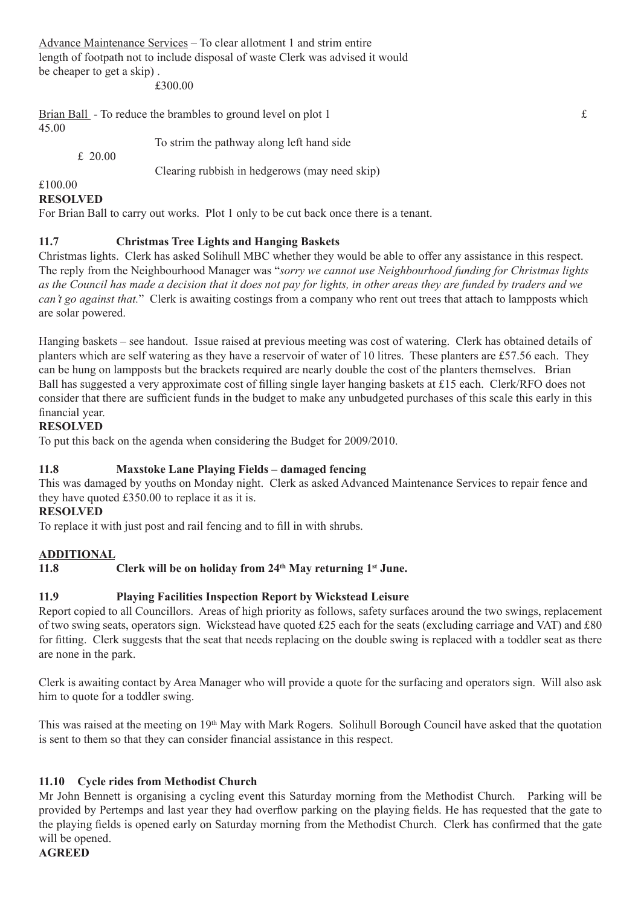Advance Maintenance Services – To clear allotment 1 and strim entire length of footpath not to include disposal of waste Clerk was advised it would be cheaper to get a skip) .

£300.00

Brian Ball - To reduce the brambles to ground level on plot 1  $\epsilon$ 45.00

To strim the pathway along left hand side

Clearing rubbish in hedgerows (may need skip)

#### £100.00

#### **RESOLVED**

£ 20.00

For Brian Ball to carry out works. Plot 1 only to be cut back once there is a tenant.

### **11.7 Christmas Tree Lights and Hanging Baskets**

Christmas lights. Clerk has asked Solihull MBC whether they would be able to offer any assistance in this respect. The reply from the Neighbourhood Manager was "*sorry we cannot use Neighbourhood funding for Christmas lights as the Council has made a decision that it does not pay for lights, in other areas they are funded by traders and we can't go against that.*" Clerk is awaiting costings from a company who rent out trees that attach to lampposts which are solar powered.

Hanging baskets – see handout. Issue raised at previous meeting was cost of watering. Clerk has obtained details of planters which are self watering as they have a reservoir of water of 10 litres. These planters are £57.56 each. They can be hung on lampposts but the brackets required are nearly double the cost of the planters themselves. Brian Ball has suggested a very approximate cost of filling single layer hanging baskets at £15 each. Clerk/RFO does not consider that there are sufficient funds in the budget to make any unbudgeted purchases of this scale this early in this financial year.

### **RESOLVED**

To put this back on the agenda when considering the Budget for 2009/2010.

### **11.8 Maxstoke Lane Playing Fields – damaged fencing**

This was damaged by youths on Monday night. Clerk as asked Advanced Maintenance Services to repair fence and they have quoted £350.00 to replace it as it is.

#### **RESOLVED**

To replace it with just post and rail fencing and to fill in with shrubs.

#### **ADDITIONAL**

#### **11.8 Clerk will be on holiday from 24th May returning 1st June.**

### **11.9 Playing Facilities Inspection Report by Wickstead Leisure**

Report copied to all Councillors. Areas of high priority as follows, safety surfaces around the two swings, replacement of two swing seats, operators sign. Wickstead have quoted £25 each for the seats (excluding carriage and VAT) and £80 for fitting. Clerk suggests that the seat that needs replacing on the double swing is replaced with a toddler seat as there are none in the park.

Clerk is awaiting contact by Area Manager who will provide a quote for the surfacing and operators sign. Will also ask him to quote for a toddler swing.

This was raised at the meeting on  $19<sup>th</sup>$  May with Mark Rogers. Solihull Borough Council have asked that the quotation is sent to them so that they can consider financial assistance in this respect.

### **11.10 Cycle rides from Methodist Church**

Mr John Bennett is organising a cycling event this Saturday morning from the Methodist Church. Parking will be provided by Pertemps and last year they had overflow parking on the playing fields. He has requested that the gate to the playing fields is opened early on Saturday morning from the Methodist Church. Clerk has confirmed that the gate will be opened.